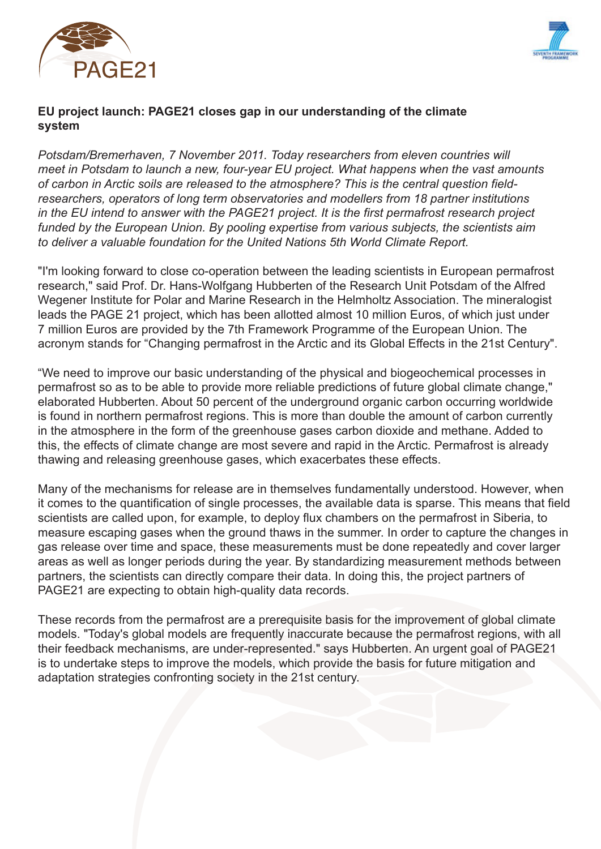



## **EU project launch: PAGE21 closes gap in our understanding of the climate system**

*Potsdam/Bremerhaven, 7 November 2011. Today researchers from eleven countries will meet in Potsdam to launch a new, four-year EU project. What happens when the vast amounts of carbon in Arctic soils are released to the atmosphere? This is the central question fieldresearchers, operators of long term observatories and modellers from 18 partner institutions in the EU intend to answer with the PAGE21 project. It is the first permafrost research project funded by the European Union. By pooling expertise from various subjects, the scientists aim to deliver a valuable foundation for the United Nations 5th World Climate Report.*

"I'm looking forward to close co-operation between the leading scientists in European permafrost research," said Prof. Dr. Hans-Wolfgang Hubberten of the Research Unit Potsdam of the Alfred Wegener Institute for Polar and Marine Research in the Helmholtz Association. The mineralogist leads the PAGE 21 project, which has been allotted almost 10 million Euros, of which just under 7 million Euros are provided by the 7th Framework Programme of the European Union. The acronym stands for "Changing permafrost in the Arctic and its Global Effects in the 21st Century".

"We need to improve our basic understanding of the physical and biogeochemical processes in permafrost so as to be able to provide more reliable predictions of future global climate change," elaborated Hubberten. About 50 percent of the underground organic carbon occurring worldwide is found in northern permafrost regions. This is more than double the amount of carbon currently in the atmosphere in the form of the greenhouse gases carbon dioxide and methane. Added to this, the effects of climate change are most severe and rapid in the Arctic. Permafrost is already thawing and releasing greenhouse gases, which exacerbates these effects.

Many of the mechanisms for release are in themselves fundamentally understood. However, when it comes to the quantification of single processes, the available data is sparse. This means that field scientists are called upon, for example, to deploy flux chambers on the permafrost in Siberia, to measure escaping gases when the ground thaws in the summer. In order to capture the changes in gas release over time and space, these measurements must be done repeatedly and cover larger areas as well as longer periods during the year. By standardizing measurement methods between partners, the scientists can directly compare their data. In doing this, the project partners of PAGE21 are expecting to obtain high-quality data records.

These records from the permafrost are a prerequisite basis for the improvement of global climate models. "Today's global models are frequently inaccurate because the permafrost regions, with all their feedback mechanisms, are under-represented." says Hubberten. An urgent goal of PAGE21 is to undertake steps to improve the models, which provide the basis for future mitigation and adaptation strategies confronting society in the 21st century.